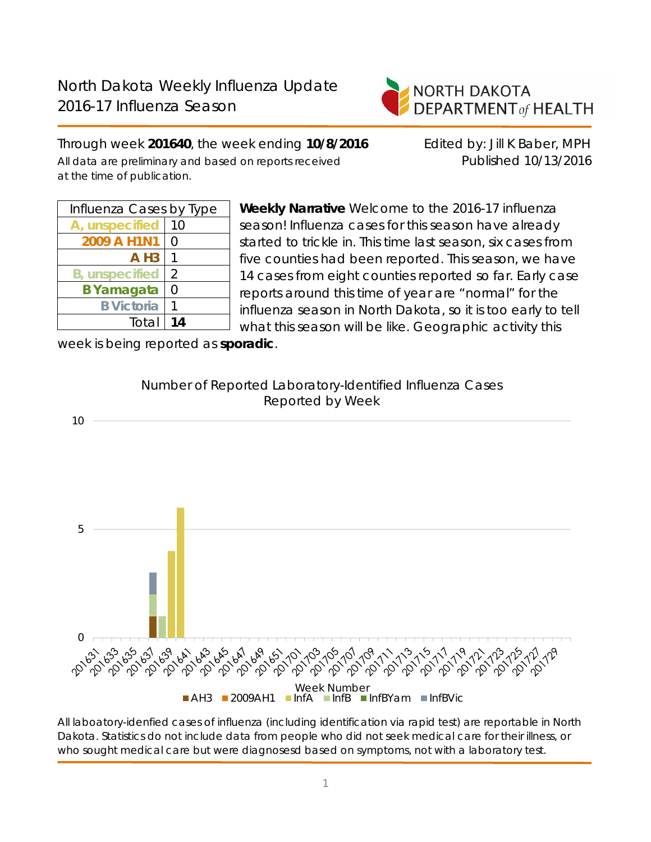

Through week **201640**, the week ending **10/8/2016** Edited by: Jill K Baber, MPH All data are preliminary and based on reports received Published 10/13/2016 at the time of publication.

| Influenza Cases by Type |        |  |  |  |
|-------------------------|--------|--|--|--|
| A, unspecified          | 10     |  |  |  |
| 2009 A H1N1             | $\cap$ |  |  |  |
| $A$ H <sub>3</sub>      |        |  |  |  |
| <b>B</b> , unspecified  | 2      |  |  |  |
| <b>B</b> Yamagata       | Ω      |  |  |  |
| <b>B</b> Victoria       |        |  |  |  |
| Total                   | 14     |  |  |  |

**Weekly Narrative** Welcome to the 2016-17 influenza season! Influenza cases for this season have already started to trickle in. This time last season, six cases from five counties had been reported. This season, we have 14 cases from eight counties reported so far. Early case reports around this time of year are "normal" for the influenza season in North Dakota, so it is too early to tell what this season will be like. Geographic activity this

week is being reported as **sporadic**.



All laboatory-idenfied cases of influenza (including identification via rapid test) are reportable in North Dakota. Statistics do not include data from people who did not seek medical care for their illness, or who sought medical care but were diagnosesd based on symptoms, not with a laboratory test.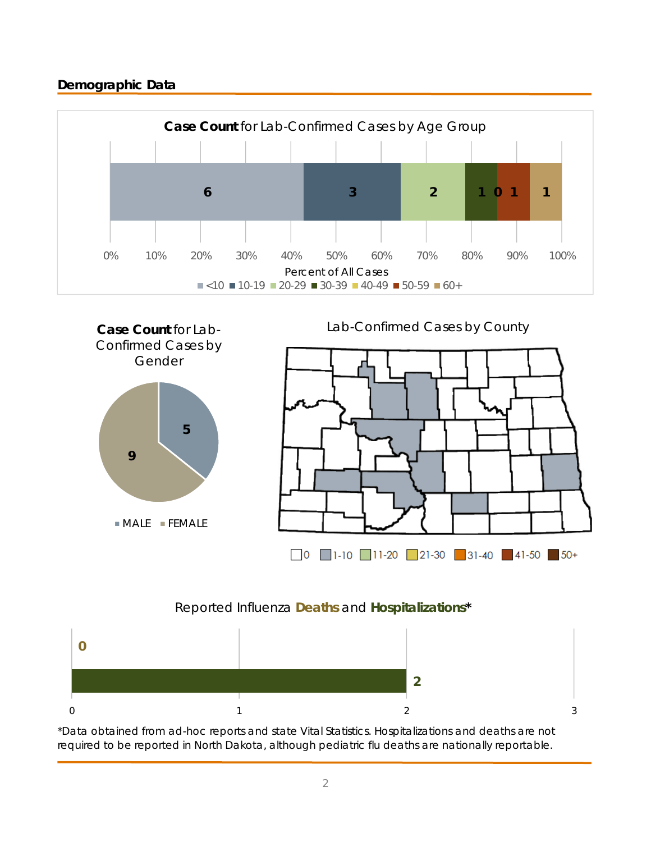# **Demographic Data**





# Reported Influenza **Deaths** and **Hospitalizations\***



\*Data obtained from ad-hoc reports and state Vital Statistics. Hospitalizations and deaths are not required to be reported in North Dakota, although pediatric flu deaths are nationally reportable.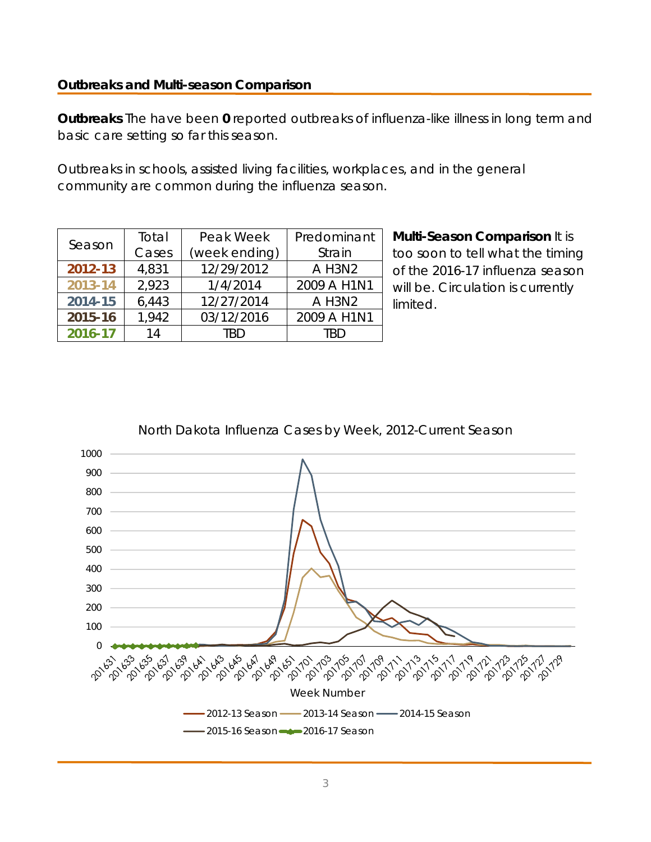## **Outbreaks and Multi-season Comparison**

**Outbreaks** The have been **0** reported outbreaks of influenza-like illness in long term and basic care setting so far this season.

Outbreaks in schools, assisted living facilities, workplaces, and in the general community are common during the influenza season.

| Season                         | Total                  | Peak Week                 | Predominant |  |
|--------------------------------|------------------------|---------------------------|-------------|--|
|                                | Cases<br>(week ending) |                           | Strain      |  |
| 12/29/2012<br>2012-13<br>4,831 |                        | A H3N2                    |             |  |
| 2013-14                        | 2,923                  | 1/4/2014                  | 2009 A H1N1 |  |
| 2014-15                        | 6,443                  | 12/27/2014                | A H3N2      |  |
| 2015-16                        | 1,942                  | 03/12/2016<br>2009 A H1N1 |             |  |
| 2016-17                        | 14                     | TRD                       | TRD         |  |

**Multi-Season Comparison** It is too soon to tell what the timing of the 2016-17 influenza season will be. Circulation is currently limited.



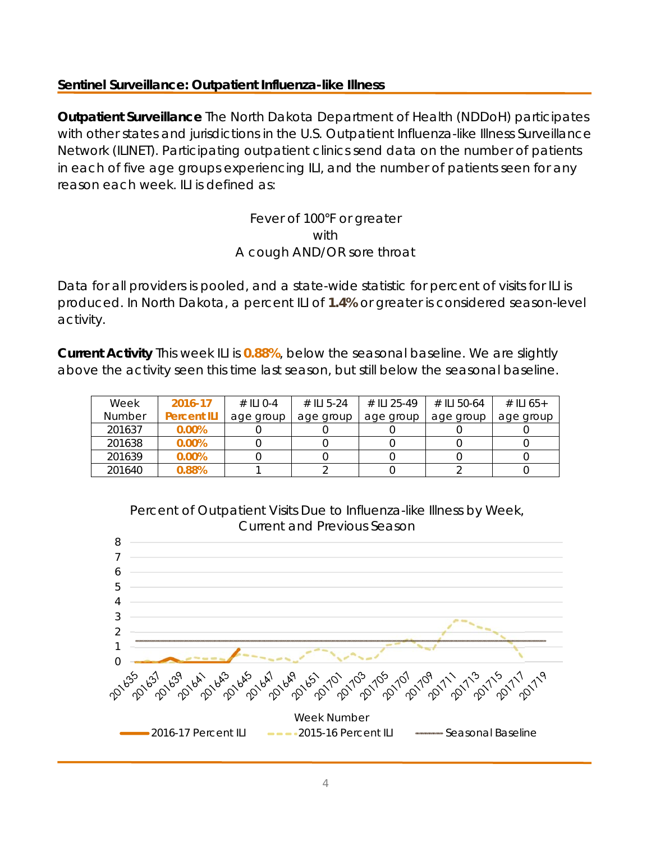# **Sentinel Surveillance: Outpatient Influenza-like Illness**

**Outpatient Surveillance** The North Dakota Department of Health (NDDoH) participates with other states and jurisdictions in the U.S. Outpatient Influenza-like Illness Surveillance Network (ILINET). Participating outpatient clinics send data on the number of patients in each of five age groups experiencing ILI, and the number of patients seen for any reason each week. ILI is defined as:

> Fever of 100°F or greater with A cough AND/OR sore throat

Data for all providers is pooled, and a state-wide statistic for percent of visits for ILI is produced. In North Dakota, a percent ILI of **1.4%** or greater is considered season-level activity.

**Current Activity** This week ILI is **0.88%**, below the seasonal baseline. We are slightly above the activity seen this time last season, but still below the seasonal baseline.

| Week   | 2016-17            | $\#$ ILI 0-4 | # ILI 5-24 | # II 1 25-49 | # II 50-64 | # ILI 65+ |
|--------|--------------------|--------------|------------|--------------|------------|-----------|
| Number | <b>Percent ILI</b> | age group    | age group  | age group    | age group  | age group |
| 201637 | $0.00\%$           |              |            |              |            |           |
| 201638 | $0.00\%$           |              |            |              |            |           |
| 201639 | $0.00\%$           |              |            |              |            |           |
| 201640 | 0.88%              |              |            |              |            |           |



Percent of Outpatient Visits Due to Influenza-like Illness by Week,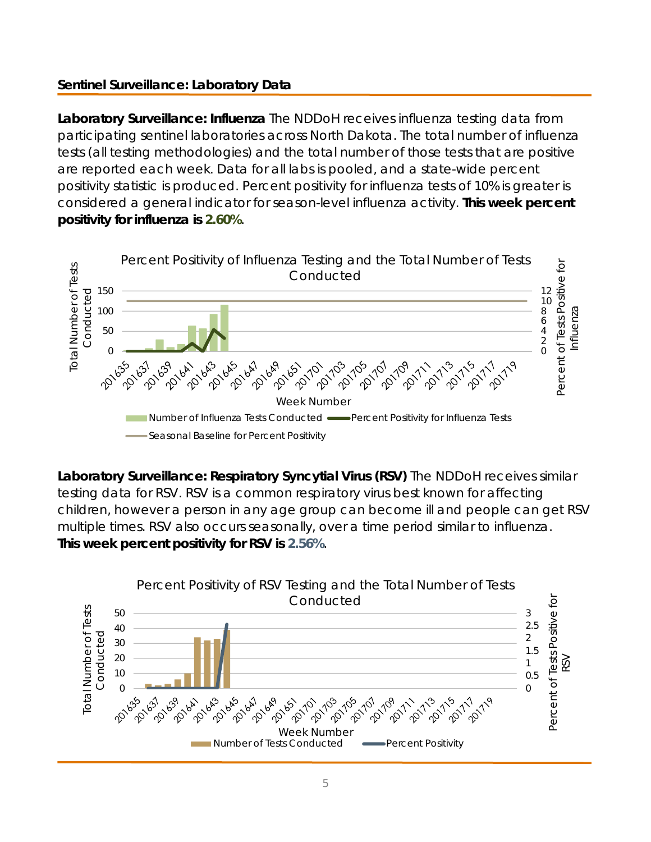# **Sentinel Surveillance: Laboratory Data**

**Laboratory Surveillance: Influenza** The NDDoH receives influenza testing data from participating sentinel laboratories across North Dakota. The total number of influenza tests (all testing methodologies) and the total number of those tests that are positive are reported each week. Data for all labs is pooled, and a state-wide percent positivity statistic is produced. Percent positivity for influenza tests of 10% is greater is considered a general indicator for season-level influenza activity. **This week percent positivity for influenza is 2.60%**.



**Laboratory Surveillance: Respiratory Syncytial Virus (RSV)** The NDDoH receives similar testing data for RSV. RSV is a common respiratory virus best known for affecting children, however a person in any age group can become ill and people can get RSV multiple times. RSV also occurs seasonally, over a time period similar to influenza. **This week percent positivity for RSV is 2.56%**.

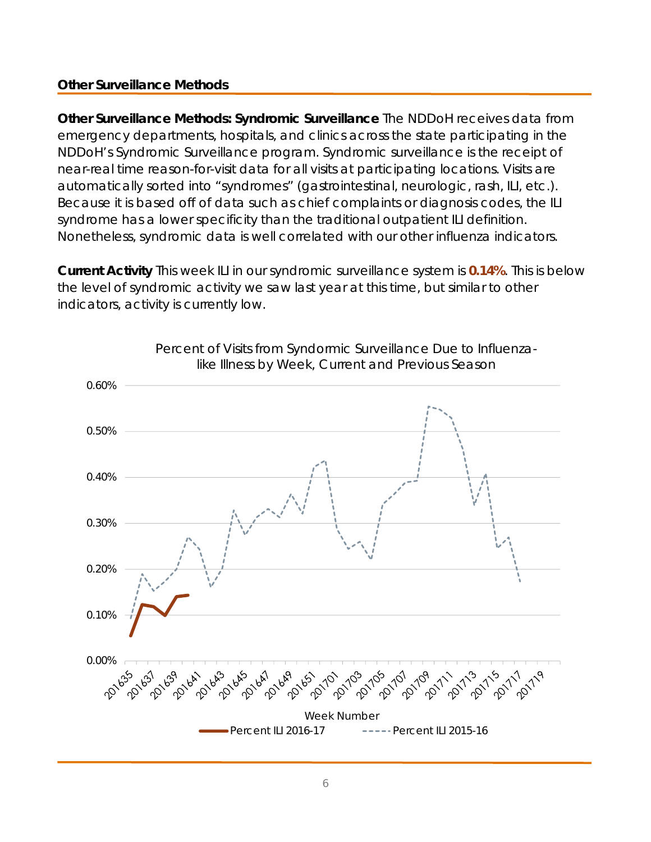# **Other Surveillance Methods**

**Other Surveillance Methods: Syndromic Surveillance** The NDDoH receives data from emergency departments, hospitals, and clinics across the state participating in the NDDoH's Syndromic Surveillance program. Syndromic surveillance is the receipt of near-real time reason-for-visit data for all visits at participating locations. Visits are automatically sorted into "syndromes" (gastrointestinal, neurologic, rash, ILI, etc.). Because it is based off of data such as chief complaints or diagnosis codes, the ILI syndrome has a lower specificity than the traditional outpatient ILI definition. Nonetheless, syndromic data is well correlated with our other influenza indicators.

**Current Activity** This week ILI in our syndromic surveillance system is **0.14%**. This is below the level of syndromic activity we saw last year at this time, but similar to other indicators, activity is currently low.

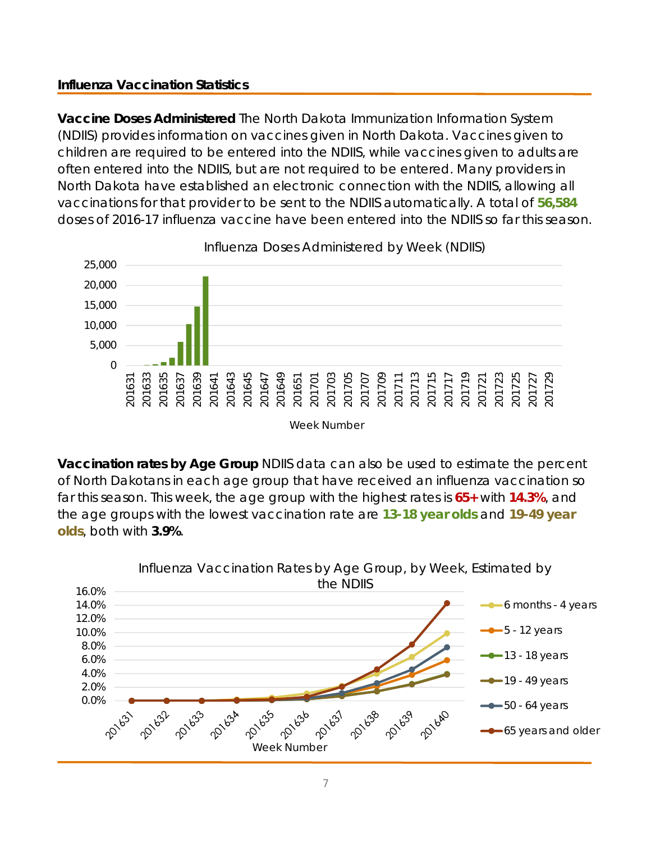# **Influenza Vaccination Statistics**

**Vaccine Doses Administered** The North Dakota Immunization Information System (NDIIS) provides information on vaccines given in North Dakota. Vaccines given to children are required to be entered into the NDIIS, while vaccines given to adults are often entered into the NDIIS, but are not required to be entered. Many providers in North Dakota have established an electronic connection with the NDIIS, allowing all vaccinations for that provider to be sent to the NDIIS automatically. A total of **56,584** doses of 2016-17 influenza vaccine have been entered into the NDIIS so far this season.



**Vaccination rates by Age Group** NDIIS data can also be used to estimate the percent of North Dakotans in each age group that have received an influenza vaccination so far this season. This week, the age group with the highest rates is **65+** with **14.3%**, and the age groups with the lowest vaccination rate are **13-18 year olds** and **19-49 year olds**, both with **3.9%**.